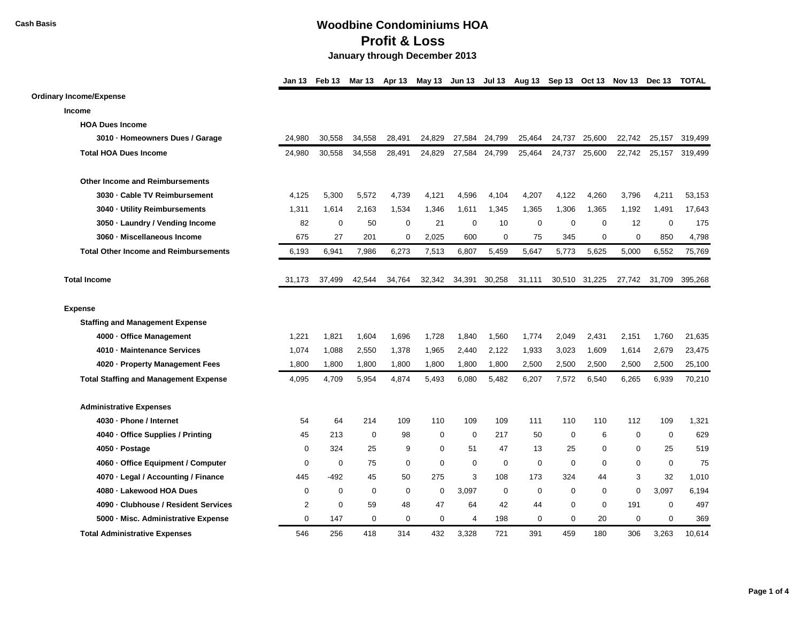|                                              | Jan 13      | Feb 13      | <b>Mar 13</b> | Apr 13      |             |             |               |             |             |               | May 13 Jun 13 Jul 13 Aug 13 Sep 13 Oct 13 Nov 13 Dec 13 TOTAL |               |         |
|----------------------------------------------|-------------|-------------|---------------|-------------|-------------|-------------|---------------|-------------|-------------|---------------|---------------------------------------------------------------|---------------|---------|
| <b>Ordinary Income/Expense</b>               |             |             |               |             |             |             |               |             |             |               |                                                               |               |         |
| Income                                       |             |             |               |             |             |             |               |             |             |               |                                                               |               |         |
| <b>HOA Dues Income</b>                       |             |             |               |             |             |             |               |             |             |               |                                                               |               |         |
| 3010 · Homeowners Dues / Garage              | 24.980      | 30.558      | 34,558        | 28,491      | 24.829      | 27,584      | 24,799        | 25,464      | 24,737      | 25,600        | 22,742                                                        | 25,157        | 319,499 |
| <b>Total HOA Dues Income</b>                 | 24,980      | 30,558      | 34,558        | 28,491      | 24,829      |             | 27,584 24,799 | 25,464      | 24,737      | 25,600        | 22,742                                                        | 25,157        | 319,499 |
| <b>Other Income and Reimbursements</b>       |             |             |               |             |             |             |               |             |             |               |                                                               |               |         |
| 3030 · Cable TV Reimbursement                | 4,125       | 5,300       | 5,572         | 4,739       | 4,121       | 4,596       | 4,104         | 4,207       | 4,122       | 4,260         | 3,796                                                         | 4,211         | 53,153  |
| 3040 · Utility Reimbursements                | 1,311       | 1,614       | 2,163         | 1,534       | 1,346       | 1,611       | 1,345         | 1,365       | 1,306       | 1,365         | 1,192                                                         | 1,491         | 17,643  |
| 3050 · Laundry / Vending Income              | 82          | $\mathbf 0$ | 50            | $\mathbf 0$ | 21          | $\mathbf 0$ | 10            | $\mathbf 0$ | 0           | $\mathbf 0$   | 12                                                            | $\mathbf 0$   | 175     |
| 3060 · Miscellaneous Income                  | 675         | 27          | 201           | $\mathbf 0$ | 2,025       | 600         | $\mathbf 0$   | 75          | 345         | $\mathbf 0$   | $\mathbf 0$                                                   | 850           | 4,798   |
| <b>Total Other Income and Reimbursements</b> | 6,193       | 6,941       | 7,986         | 6,273       | 7,513       | 6,807       | 5,459         | 5,647       | 5,773       | 5,625         | 5,000                                                         | 6,552         | 75,769  |
| <b>Total Income</b>                          | 31,173      | 37,499      | 42,544        | 34,764      | 32,342      |             | 34,391 30,258 | 31,111      |             | 30,510 31,225 |                                                               | 27,742 31,709 | 395,268 |
| <b>Expense</b>                               |             |             |               |             |             |             |               |             |             |               |                                                               |               |         |
| <b>Staffing and Management Expense</b>       |             |             |               |             |             |             |               |             |             |               |                                                               |               |         |
| 4000 · Office Management                     | 1,221       | 1,821       | 1,604         | 1,696       | 1,728       | 1,840       | 1,560         | 1,774       | 2,049       | 2,431         | 2,151                                                         | 1,760         | 21,635  |
| 4010 - Maintenance Services                  | 1,074       | 1,088       | 2,550         | 1,378       | 1,965       | 2,440       | 2,122         | 1,933       | 3,023       | 1,609         | 1,614                                                         | 2,679         | 23,475  |
| 4020 · Property Management Fees              | 1,800       | 1,800       | 1,800         | 1,800       | 1,800       | 1,800       | 1,800         | 2,500       | 2,500       | 2,500         | 2,500                                                         | 2,500         | 25,100  |
| <b>Total Staffing and Management Expense</b> | 4,095       | 4,709       | 5,954         | 4,874       | 5,493       | 6,080       | 5,482         | 6,207       | 7,572       | 6,540         | 6,265                                                         | 6,939         | 70,210  |
| <b>Administrative Expenses</b>               |             |             |               |             |             |             |               |             |             |               |                                                               |               |         |
| 4030 · Phone / Internet                      | 54          | 64          | 214           | 109         | 110         | 109         | 109           | 111         | 110         | 110           | 112                                                           | 109           | 1,321   |
| 4040 - Office Supplies / Printing            | 45          | 213         | $\mathbf 0$   | 98          | $\mathbf 0$ | $\mathbf 0$ | 217           | 50          | $\mathbf 0$ | 6             | $\mathbf 0$                                                   | $\mathbf 0$   | 629     |
| 4050 · Postage                               | $\mathbf 0$ | 324         | 25            | 9           | $\mathbf 0$ | 51          | 47            | 13          | 25          | 0             | $\mathbf 0$                                                   | 25            | 519     |
| 4060 · Office Equipment / Computer           | $\mathbf 0$ | $\mathbf 0$ | 75            | $\mathbf 0$ | $\mathbf 0$ | $\mathbf 0$ | $\mathbf 0$   | $\mathbf 0$ | $\mathbf 0$ | $\mathbf 0$   | $\mathbf 0$                                                   | $\mathbf 0$   | 75      |
| 4070 · Legal / Accounting / Finance          | 445         | $-492$      | 45            | 50          | 275         | 3           | 108           | 173         | 324         | 44            | 3                                                             | 32            | 1,010   |
| 4080 · Lakewood HOA Dues                     | $\mathbf 0$ | $\mathbf 0$ | $\mathbf 0$   | $\mathbf 0$ | $\mathbf 0$ | 3,097       | $\mathbf 0$   | $\mathbf 0$ | $\mathbf 0$ | $\Omega$      | $\mathbf 0$                                                   | 3,097         | 6,194   |
| 4090 · Clubhouse / Resident Services         | 2           | $\mathbf 0$ | 59            | 48          | 47          | 64          | 42            | 44          | 0           | 0             | 191                                                           | $\mathbf 0$   | 497     |
| 5000 · Misc. Administrative Expense          | $\mathbf 0$ | 147         | $\mathbf 0$   | $\mathbf 0$ | $\mathbf 0$ | 4           | 198           | $\mathbf 0$ | $\mathbf 0$ | 20            | $\mathbf 0$                                                   | $\mathbf 0$   | 369     |
| <b>Total Administrative Expenses</b>         | 546         | 256         | 418           | 314         | 432         | 3.328       | 721           | 391         | 459         | 180           | 306                                                           | 3.263         | 10.614  |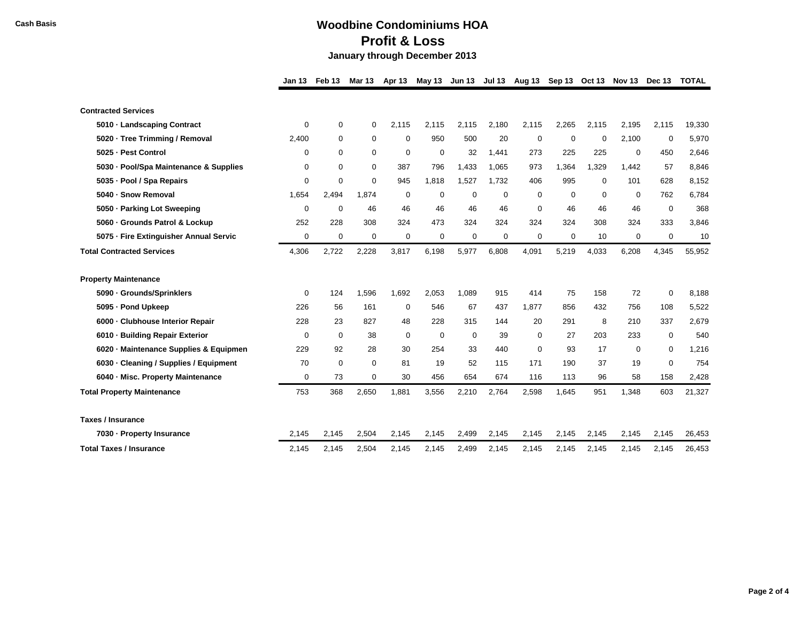|                                                 | Jan 13             | Feb 13      | <b>Mar 13</b> | <b>Apr 13</b> | May 13       |             | Jun 13 Jul 13 | Aug 13       |             |             | Sep 13 Oct 13 Nov 13 Dec 13 |                    | <b>TOTAL</b>   |
|-------------------------------------------------|--------------------|-------------|---------------|---------------|--------------|-------------|---------------|--------------|-------------|-------------|-----------------------------|--------------------|----------------|
|                                                 |                    |             |               |               |              |             |               |              |             |             |                             |                    |                |
| <b>Contracted Services</b>                      |                    |             |               |               |              |             |               |              |             |             |                             |                    |                |
| 5010 · Landscaping Contract                     | 0                  | 0           | 0             | 2,115         | 2,115        | 2,115       | 2,180         | 2,115        | 2,265       | 2,115       | 2,195                       | 2,115              | 19,330         |
| 5020 · Tree Trimming / Removal                  | 2,400              | 0           | $\mathbf 0$   | $\mathbf 0$   | 950          | 500         | 20            | $\mathbf 0$  | $\mathbf 0$ | $\mathbf 0$ | 2,100                       | $\mathbf 0$        | 5,970          |
| 5025 - Pest Control                             | 0                  | 0           | $\mathbf 0$   | 0             | 0            | 32          | 1,441         | 273          | 225         | 225         | 0                           | 450                | 2,646          |
| 5030 - Pool/Spa Maintenance & Supplies          | 0                  | $\mathbf 0$ | 0             | 387           | 796          | 1,433       | 1,065         | 973          | 1,364       | 1,329       | 1,442                       | 57                 | 8,846          |
| 5035 · Pool / Spa Repairs                       | 0                  | 0           | $\Omega$      | 945           | 1,818        | 1,527       | 1,732         | 406          | 995         | 0           | 101                         | 628                | 8,152          |
| 5040 - Snow Removal                             | 1,654              | 2,494       | 1,874         | 0             | 0            | 0           | $\mathbf 0$   | $\mathbf 0$  | $\mathbf 0$ | 0           | 0                           | 762                | 6.784          |
| 5050 · Parking Lot Sweeping                     | 0                  | 0           | 46            | 46            | 46           | 46          | 46            | $\mathbf 0$  | 46          | 46          | 46                          | $\mathbf 0$        | 368            |
| 5060 · Grounds Patrol & Lockup                  | 252                | 228         | 308           | 324           | 473          | 324         | 324           | 324          | 324         | 308         | 324                         | 333                | 3,846          |
| 5075 - Fire Extinguisher Annual Servic          | 0                  | 0           | 0             | $\mathbf 0$   | 0            | $\mathbf 0$ | 0             | 0            | 0           | 10          | 0                           | $\mathbf 0$        | 10             |
| <b>Total Contracted Services</b>                | 4,306              | 2,722       | 2,228         | 3,817         | 6,198        | 5,977       | 6,808         | 4,091        | 5,219       | 4,033       | 6,208                       | 4,345              | 55,952         |
|                                                 |                    |             |               |               |              |             |               |              |             |             |                             |                    |                |
| <b>Property Maintenance</b>                     |                    | 124         |               |               |              | 1.089       | 915           |              | 75          |             |                             |                    |                |
| 5090 · Grounds/Sprinklers<br>5095 - Pond Upkeep | $\mathbf 0$<br>226 | 56          | 1,596<br>161  | 1,692<br>0    | 2,053<br>546 | 67          | 437           | 414<br>1,877 | 856         | 158<br>432  | 72<br>756                   | $\mathbf 0$<br>108 | 8,188<br>5,522 |
|                                                 | 228                | 23          | 827           |               | 228          | 315         | 144           | 20           | 291         | 8           | 210                         | 337                | 2,679          |
| 6000 - Clubhouse Interior Repair                |                    |             |               | 48            |              |             |               |              |             |             |                             |                    |                |
| 6010 · Building Repair Exterior                 | 0                  | $\mathbf 0$ | 38            | 0             | 0            | $\mathbf 0$ | 39            | 0            | 27          | 203         | 233                         | $\mathbf 0$        | 540            |
| 6020 · Maintenance Supplies & Equipmen          | 229                | 92          | 28            | 30            | 254          | 33          | 440           | $\mathbf 0$  | 93          | 17          | 0                           | 0                  | 1,216          |
| 6030 · Cleaning / Supplies / Equipment          | 70                 | $\mathbf 0$ | $\Omega$      | 81            | 19           | 52          | 115           | 171          | 190         | 37          | 19                          | $\Omega$           | 754            |
| 6040 - Misc. Property Maintenance               | 0                  | 73          | $\mathbf 0$   | 30            | 456          | 654         | 674           | 116          | 113         | 96          | 58                          | 158                | 2,428          |
| <b>Total Property Maintenance</b>               | 753                | 368         | 2,650         | 1,881         | 3,556        | 2,210       | 2,764         | 2,598        | 1,645       | 951         | 1,348                       | 603                | 21,327         |
| <b>Taxes / Insurance</b>                        |                    |             |               |               |              |             |               |              |             |             |                             |                    |                |
| 7030 · Property Insurance                       | 2,145              | 2,145       | 2,504         | 2,145         | 2,145        | 2,499       | 2,145         | 2,145        | 2,145       | 2,145       | 2,145                       | 2,145              | 26,453         |
| <b>Total Taxes / Insurance</b>                  | 2,145              | 2,145       | 2,504         | 2,145         | 2,145        | 2,499       | 2,145         | 2,145        | 2,145       | 2,145       | 2,145                       | 2,145              | 26,453         |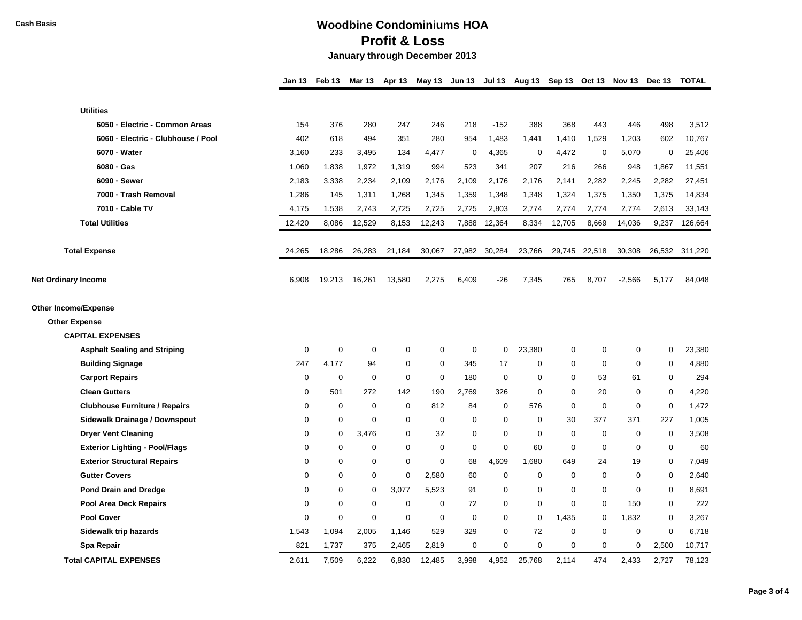|                                       | Jan 13      | Feb 13         | Mar 13      | Apr 13      |             |             |                |             |             |             | May 13 Jun 13 Jul 13 Aug 13 Sep 13 Oct 13 Nov 13 Dec 13 TOTAL |                  |         |
|---------------------------------------|-------------|----------------|-------------|-------------|-------------|-------------|----------------|-------------|-------------|-------------|---------------------------------------------------------------|------------------|---------|
|                                       |             |                |             |             |             |             |                |             |             |             |                                                               |                  |         |
| <b>Utilities</b>                      |             |                |             |             |             |             |                |             |             |             |                                                               |                  |         |
| 6050 - Electric - Common Areas        | 154         | 376            | 280         | 247         | 246         | 218         | $-152$         | 388         | 368         | 443         | 446                                                           | 498              | 3,512   |
| 6060 - Electric - Clubhouse / Pool    | 402         | 618            | 494         | 351         | 280         | 954         | 1,483          | 1,441       | 1,410       | 1,529       | 1,203                                                         | 602              | 10,767  |
| 6070 - Water                          | 3,160       | 233            | 3,495       | 134         | 4,477       | 0           | 4,365          | 0           | 4,472       | 0           | 5,070                                                         | $\pmb{0}$        | 25,406  |
| $6080 \cdot Gas$                      | 1,060       | 1,838          | 1,972       | 1,319       | 994         | 523         | 341            | 207         | 216         | 266         | 948                                                           | 1,867            | 11,551  |
| 6090 - Sewer                          | 2,183       | 3,338          | 2,234       | 2,109       | 2,176       | 2,109       | 2,176          | 2,176       | 2,141       | 2,282       | 2,245                                                         | 2,282            | 27,451  |
| 7000 - Trash Removal                  | 1,286       | 145            | 1,311       | 1,268       | 1,345       | 1,359       | 1,348          | 1,348       | 1,324       | 1,375       | 1,350                                                         | 1,375            | 14,834  |
| 7010 - Cable TV                       | 4,175       | 1,538          | 2,743       | 2,725       | 2,725       | 2,725       | 2,803          | 2,774       | 2,774       | 2,774       | 2,774                                                         | 2,613            | 33,143  |
| <b>Total Utilities</b>                | 12,420      | 8,086          | 12,529      | 8,153       | 12,243      | 7,888       | 12,364         | 8,334       | 12,705      | 8,669       | 14,036                                                        | 9,237            | 126,664 |
| <b>Total Expense</b>                  | 24,265      | 18,286         | 26,283      | 21,184      | 30,067      | 27,982      | 30,284         | 23,766      | 29,745      | 22,518      | 30,308                                                        | 26,532           | 311,220 |
| <b>Net Ordinary Income</b>            | 6,908       | 19,213         | 16,261      | 13,580      | 2,275       | 6,409       | -26            | 7,345       | 765         | 8,707       | $-2,566$                                                      | 5,177            | 84,048  |
| Other Income/Expense                  |             |                |             |             |             |             |                |             |             |             |                                                               |                  |         |
| <b>Other Expense</b>                  |             |                |             |             |             |             |                |             |             |             |                                                               |                  |         |
| <b>CAPITAL EXPENSES</b>               |             |                |             |             |             |             |                |             |             |             |                                                               |                  |         |
| <b>Asphalt Sealing and Striping</b>   | $\mathbf 0$ | $\overline{0}$ | $\mathbf 0$ | $\mathbf 0$ | $\mathbf 0$ | $\mathbf 0$ | 0              | 23,380      | 0           | $\mathbf 0$ | $\mathbf 0$                                                   | 0                | 23,380  |
| <b>Building Signage</b>               | 247         | 4,177          | 94          | 0           | $\mathbf 0$ | 345         | 17             | 0           | 0           | 0           | 0                                                             | $\mathbf 0$      | 4,880   |
| <b>Carport Repairs</b>                | $\mathbf 0$ | 0              | $\mathbf 0$ | $\mathbf 0$ | $\mathbf 0$ | 180         | $\mathbf 0$    | $\mathbf 0$ | $\mathbf 0$ | 53          | 61                                                            | $\boldsymbol{0}$ | 294     |
| <b>Clean Gutters</b>                  | 0           | 501            | 272         | 142         | 190         | 2,769       | 326            | 0           | 0           | 20          | $\mathbf 0$                                                   | $\mathbf 0$      | 4,220   |
| <b>Clubhouse Furniture / Repairs</b>  | $\mathbf 0$ | $\mathbf 0$    | $\mathbf 0$ | $\Omega$    | 812         | 84          | $\mathbf 0$    | 576         | $\Omega$    | $\mathbf 0$ | $\mathbf 0$                                                   | $\mathbf 0$      | 1,472   |
| Sidewalk Drainage / Downspout         | $\mathbf 0$ | $\mathbf 0$    | $\mathbf 0$ | $\mathbf 0$ | $\mathbf 0$ | $\mathbf 0$ | $\mathbf 0$    | $\mathbf 0$ | 30          | 377         | 371                                                           | 227              | 1,005   |
| <b>Dryer Vent Cleaning</b>            | 0           | 0              | 3,476       | $\mathbf 0$ | 32          | $\mathbf 0$ | $\mathbf 0$    | $\mathbf 0$ | 0           | $\mathbf 0$ | $\mathbf 0$                                                   | $\mathbf 0$      | 3,508   |
| <b>Exterior Lighting - Pool/Flags</b> | $\mathbf 0$ | $\Omega$       | $\Omega$    | $\Omega$    | $\mathbf 0$ | $\mathbf 0$ | $\overline{0}$ | 60          | $\Omega$    | $\mathbf 0$ | $\mathbf 0$                                                   | $\mathbf 0$      | 60      |
| <b>Exterior Structural Repairs</b>    | 0           | $\mathbf 0$    | 0           | $\mathbf 0$ | $\mathbf 0$ | 68          | 4,609          | 1,680       | 649         | 24          | 19                                                            | 0                | 7,049   |
| <b>Gutter Covers</b>                  | $\mathbf 0$ | $\mathbf 0$    | $\mathbf 0$ | $\mathbf 0$ | 2,580       | 60          | $\overline{0}$ | $\mathbf 0$ | $\mathbf 0$ | $\Omega$    | $\mathbf 0$                                                   | $\boldsymbol{0}$ | 2,640   |
| <b>Pond Drain and Dredge</b>          | $\mathbf 0$ | $\mathbf 0$    | $\Omega$    | 3,077       | 5,523       | 91          | $\mathbf 0$    | 0           | 0           | $\mathbf 0$ | $\mathbf 0$                                                   | 0                | 8,691   |
| Pool Area Deck Repairs                | 0           | $\mathbf 0$    | $\mathbf 0$ | $\mathbf 0$ | $\mathbf 0$ | 72          | $\mathbf 0$    | 0           | $\mathbf 0$ | $\mathbf 0$ | 150                                                           | $\boldsymbol{0}$ | 222     |
| <b>Pool Cover</b>                     | $\mathbf 0$ | $\mathbf 0$    | 0           | $\mathbf 0$ | $\mathbf 0$ | $\mathbf 0$ | $\mathbf 0$    | 0           | 1,435       | $\mathbf 0$ | 1,832                                                         | 0                | 3,267   |
| Sidewalk trip hazards                 | 1,543       | 1,094          | 2,005       | 1,146       | 529         | 329         | $\mathbf 0$    | 72          | 0           | $\mathbf 0$ | $\mathbf 0$                                                   | $\pmb{0}$        | 6,718   |
| Spa Repair                            | 821         | 1,737          | 375         | 2,465       | 2,819       | $\mathbf 0$ | $\mathbf 0$    | $\Omega$    | 0           | $\mathbf 0$ | $\Omega$                                                      | 2,500            | 10,717  |
| <b>Total CAPITAL EXPENSES</b>         | 2.611       | 7,509          | 6,222       | 6,830       | 12,485      | 3,998       | 4,952          | 25.768      | 2,114       | 474         | 2.433                                                         | 2,727            | 78,123  |